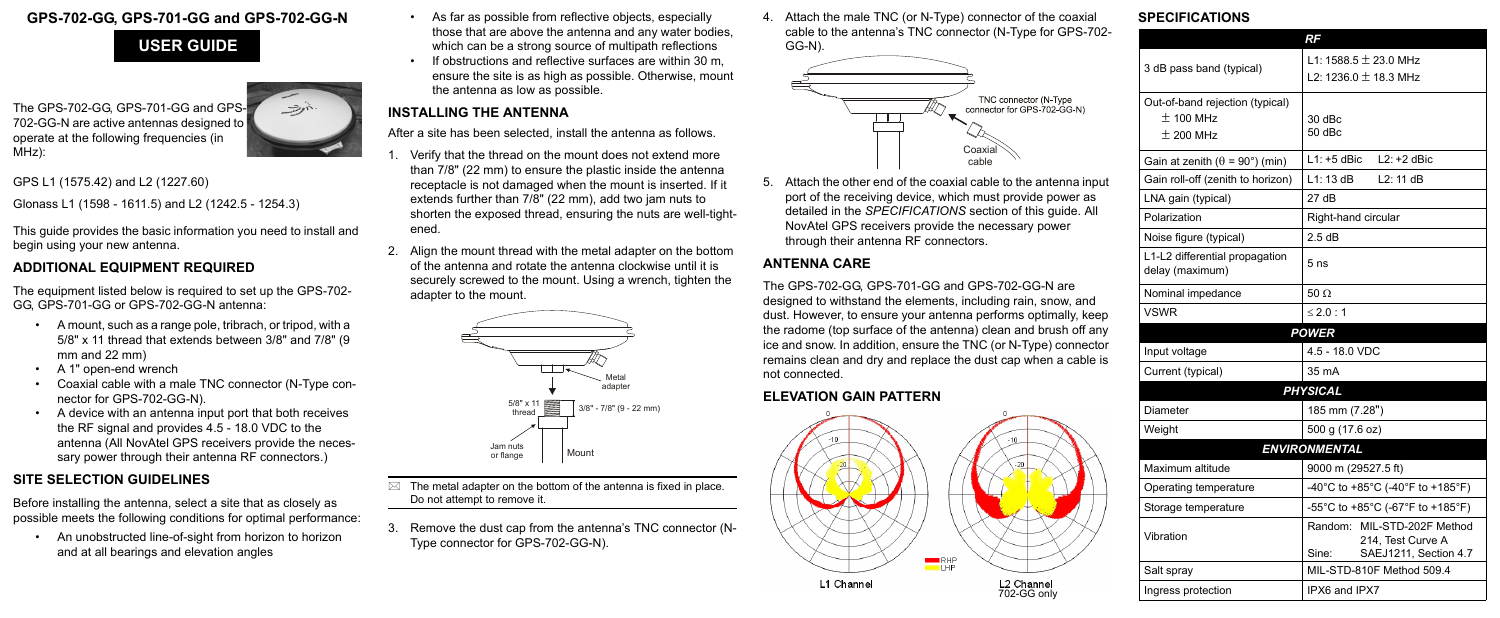## **GPS-702-GG, GPS-701-GG and GPS-702-GG-N**

The GPS-702-GG, GPS-701-GG and GPS-702-GG-N are active antennas designed to operate at the following frequencies (in MHz):



GPS L1 (1575.42) and L2 (1227.60)

Glonass L1 (1598 - 1611.5) and L2 (1242.5 - 1254.3)

This guide provides the basic information you need to install and begin using your new antenna.

## **ADDITIONAL EQUIPMENT REQUIRED**

The equipment listed below is required to set up the GPS-702- GG, GPS-701-GG or GPS-702-GG-N antenna:

- A mount, such as a range pole, tribrach, or tripod, with a 5/8" x 11 thread that extends between 3/8" and 7/8" (9 mm and 22 mm)
- A 1" open-end wrench
- Coaxial cable with a male TNC connector (N-Type connector for GPS-702-GG-N).
- A device with an antenna input port that both receives the RF signal and provides 4.5 - 18.0 VDC to the antenna (All NovAtel GPS receivers provide the necessary power through their antenna RF connectors.)
- As far as possible from reflective objects, especially those that are above the antenna and any water bodies, which can be a strong source of multipath reflections
- If obstructions and reflective surfaces are within 30 m, ensure the site is as high as possible. Otherwise, mount the antenna as low as possible.

### **SITE SELECTION GUIDELINES**

Before installing the antenna, select a site that as closely as possible meets the following conditions for optimal performance:

- Verify that the thread on the mount does not extend more than 7/8" (22 mm) to ensure the plastic inside the antenna receptacle is not damaged when the mount is inserted. If it extends further than 7/8" (22 mm), add two jam nuts to shorten the exposed thread, ensuring the nuts are well-tightened.
- 2. Align the mount thread with the metal adapter on the bottom of the antenna and rotate the antenna clockwise until it is securely screwed to the mount. Using a wrench, tighten the adapter to the mount.

 $\boxtimes$  The metal adapter on the bottom of the antenna is fixed in place. Do not attempt to remove it.

• An unobstructed line-of-sight from horizon to horizon and at all bearings and elevation angles

### **INSTALLING THE ANTENNA**

After a site has been selected, install the antenna as follows.

3. Remove the dust cap from the antenna's TNC connector (N-Type connector for GPS-702-GG-N).

4. Attach the male TNC (or N-Type) connector of the coaxial cable to the antenna's TNC connector (N-Type for GPS-702- GG-N).

5. Attach the other end of the coaxial cable to the antenna input port of the receiving device, which must provide power as detailed in the *SPECIFICATIONS* section of this guide. All NovAtel GPS receivers provide the necessary power through their antenna RF connectors.

### **ANTENNA CARE**

The GPS-702-GG, GPS-701-GG and GPS-702-GG-N are designed to withstand the elements, including rain, snow, and dust. However, to ensure your antenna performs optimally, keep the radome (top surface of the antenna) clean and brush off any ice and snow. In addition, ensure the TNC (or N-Type) connector remains clean and dry and replace the dust cap when a cable is not connected.

### **ELEVATION GAIN PATTERN**

### **SPECIFICATIONS**

| ۰, |  |  |
|----|--|--|
|    |  |  |
|    |  |  |
|    |  |  |

# **USER GUIDE**







|                                                   | RF                                                                                 |  |
|---------------------------------------------------|------------------------------------------------------------------------------------|--|
|                                                   | L1: 1588.5 $\pm$ 23.0 MHz                                                          |  |
| 3 dB pass band (typical)                          | L2: 1236.0 $\pm$ 18.3 MHz                                                          |  |
| Out-of-band rejection (typical)                   |                                                                                    |  |
| $±$ 100 MHz                                       | 30 dBc                                                                             |  |
| $\pm$ 200 MHz                                     | $50$ dBc                                                                           |  |
| Gain at zenith ( $\theta$ = 90°) (min)            | $L1: +5$ dBic<br>$L2: +2$ dBic                                                     |  |
| Gain roll-off (zenith to horizon)                 | L1:13dB<br>L2: 11 dB                                                               |  |
| LNA gain (typical)                                | 27dB                                                                               |  |
| Polarization                                      | Right-hand circular                                                                |  |
| Noise figure (typical)                            | 2.5dB                                                                              |  |
| L1-L2 differential propagation<br>delay (maximum) | 5 <sub>ns</sub>                                                                    |  |
| Nominal impedance                                 | $50 \Omega$                                                                        |  |
| <b>VSWR</b>                                       | $\leq$ 2.0 : 1                                                                     |  |
|                                                   | <b>POWER</b>                                                                       |  |
| Input voltage                                     | 4.5 - 18.0 VDC                                                                     |  |
| Current (typical)                                 | 35 mA                                                                              |  |
|                                                   | <b>PHYSICAL</b>                                                                    |  |
| Diameter                                          | 185 mm (7.28")                                                                     |  |
| Weight                                            | 500 g (17.6 oz)                                                                    |  |
|                                                   | <b>ENVIRONMENTAL</b>                                                               |  |
| Maximum altitude                                  | 9000 m (29527.5 ft)                                                                |  |
| Operating temperature                             | -40°C to +85°C (-40°F to +185°F)                                                   |  |
| Storage temperature                               | -55°C to +85°C (-67°F to +185°F)                                                   |  |
| Vibration                                         | Random: MIL-STD-202F Method<br>214, Test Curve A<br>Sine:<br>SAEJ1211, Section 4.7 |  |
| Salt spray                                        | MIL-STD-810F Method 509.4                                                          |  |
| Ingress protection                                | IPX6 and IPX7                                                                      |  |